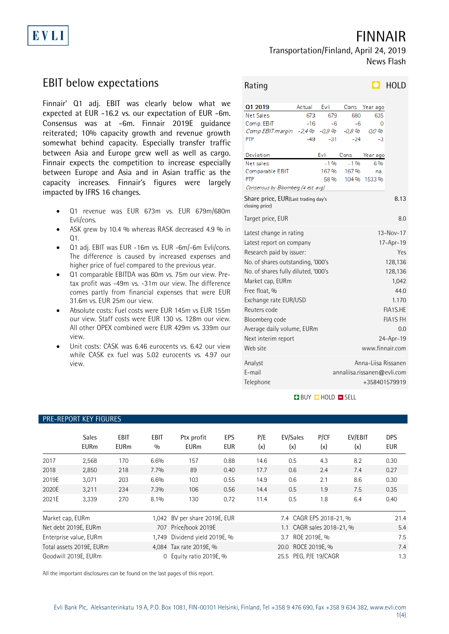# EVLI

FINNAIR Transportation/Finland, April 24, 2019

News Flash

## EBIT below expectations

Finnair' Q1 adj. EBIT was clearly below what we expected at EUR -16.2 vs. our expectation of EUR -6m. Consensus was at -6m. Finnair 2019E guidance reiterated; 10% capacity growth and revenue growth somewhat behind capacity. Especially transfer traffic between Asia and Europe grew well as well as cargo. Finnair expects the competition to increase especially between Europe and Asia and in Asian traffic as the capacity increases. Finnair's figures were largely impacted by IFRS 16 changes.

- Q1 revenue was EUR 673m vs. EUR 679m/680m Evli/cons.
- ASK grew by 10.4 % whereas RASK decreased 4.9 % in  $\Omega$ 1
- Q1 adj. EBIT was EUR -16m vs. EUR -6m/-6m Evli/cons. The difference is caused by increased expenses and higher price of fuel compared to the previous year.
- Q1 comparable EBITDA was 60m vs. 75m our view. Pretax profit was -49m vs. -31m our view. The difference comes partly from financial expenses that were EUR 31.6m vs. EUR 25m our view.
- Absolute costs: Fuel costs were EUR 145m vs EUR 155m our view. Staff costs were EUR 130 vs. 128m our view. All other OPEX combined were EUR 429m vs. 339m our view.
- Unit costs: CASK was 6.46 eurocents vs. 6.42 our view while CASK ex fuel was 5.02 eurocents vs. 4.97 our view.

| Rating                                                |         |                 |                             |                     | HOLD            |
|-------------------------------------------------------|---------|-----------------|-----------------------------|---------------------|-----------------|
|                                                       |         |                 |                             |                     |                 |
| Q1 2019                                               | Actual  | Evli            | Cons                        | Year ago            |                 |
| Net Sales                                             | 673     | 679             | 680                         | 635                 |                 |
| Comp. EBIT                                            | $-16$   | -6              | -6                          | 0                   |                 |
| Comp EBIT margin                                      | $-2.4%$ | $-0.9$ %        | -0.8 %                      | 0.0 %               |                 |
| PTP                                                   | $-49$   | -31             | $-24$                       | -3                  |                 |
| Deviation                                             |         | Evli            | Cons                        | Year ago            |                 |
| Net sales                                             |         | -1%             | $-1$ %                      | 6%                  |                 |
| Comparable EBIT                                       |         | 167%            | 167%                        | na.                 |                 |
| PTP                                                   |         | 58 %            |                             | 104 % 1533 %        |                 |
| Consensus by Bloomberg (4 est avg)                    |         |                 |                             |                     |                 |
| Share price, EUR(Last trading day's<br>closing price) |         |                 |                             |                     |                 |
| Target price, EUR<br>8.0                              |         |                 |                             |                     |                 |
| Latest change in rating                               |         | $13 - Nov - 17$ |                             |                     |                 |
| Latest report on company                              |         | 17-Apr-19       |                             |                     |                 |
| Research paid by issuer:                              |         | Yes             |                             |                     |                 |
| No. of shares outstanding, '000's                     |         | 128,136         |                             |                     |                 |
| No. of shares fully diluted, '000's                   |         |                 | 128,136                     |                     |                 |
|                                                       |         |                 | 1,042                       |                     |                 |
| Market cap, EURm                                      |         |                 |                             |                     |                 |
| Free float, %                                         |         |                 |                             |                     | 44.0            |
| Exchange rate EUR/USD                                 |         |                 |                             |                     | 1.170           |
| Reuters code                                          |         |                 |                             |                     | FIA1S.HE        |
| Bloomberg code                                        |         |                 |                             |                     | <b>FIA1S FH</b> |
| Average daily volume, EURm                            |         |                 |                             |                     | 0.0             |
| Next interim report                                   |         |                 | 24-Apr-19                   |                     |                 |
| Web site                                              |         |                 |                             | www.finnair.com     |                 |
| Analyst                                               |         |                 |                             | Anna-Liisa Rissanen |                 |
| E-mail                                                |         |                 | annaliisa.rissanen@evli.com |                     |                 |
| Telephone                                             |         |                 |                             | +358401579919       |                 |
|                                                       |         |                 |                             |                     |                 |

#### **BUY QHOLD SELL**

|                  | <b>TILE-ILLI ONI RET LIQUILLJ</b> |                     |             |                               |                          |            |                           |             |                |                          |
|------------------|-----------------------------------|---------------------|-------------|-------------------------------|--------------------------|------------|---------------------------|-------------|----------------|--------------------------|
|                  | <b>Sales</b><br><b>EURm</b>       | EBIT<br><b>EURm</b> | EBIT<br>0/0 | Ptx profit<br><b>EURm</b>     | <b>EPS</b><br><b>EUR</b> | P/E<br>(x) | EV/Sales<br>(x)           | P/CF<br>(x) | EV/EBIT<br>(x) | <b>DPS</b><br><b>EUR</b> |
| 2017             | 2,568                             | 170                 | 6.6%        | 157                           | 0.88                     | 14.6       | 0.5                       | 4.3         | 8.2            | 0.30                     |
| 2018             | 2,850                             | 218                 | 7.7%        | 89                            | 0.40                     | 17.7       | 0.6                       | 2.4         | 7.4            | 0.27                     |
| 2019E            | 3,071                             | 203                 | 6.6%        | 103                           | 0.55                     | 14.9       | 0.6                       | 2.1         | 8.6            | 0.30                     |
| 2020E            | 3,211                             | 234                 | 7.3%        | 106                           | 0.56                     | 14.4       | 0.5                       | 1.9         | 7.5            | 0.35                     |
| 2021E            | 3,339                             | 270                 | 8.1%        | 130                           | 0.72                     | 11.4       | 0.5                       | 1.8         | 6.4            | 0.40                     |
| Market cap, EURm |                                   |                     |             | 1,042 BV per share 2019E, EUR |                          |            | 7.4 CAGR EPS 2018-21, %   |             |                | 21.4                     |
|                  | Net debt 2019E, EURm              |                     | 707         | Price/book 2019E              |                          |            | 1.1 CAGR sales 2018-21, % |             |                | 5.4                      |
|                  | Enterprise value, EURm            |                     | 1.749       | Dividend yield 2019E, %       |                          |            | 3.7 ROE 2019E, %          |             |                | 7.5                      |
|                  | Total assets 2019E, EURm          |                     |             | 4,084 Tax rate 2019E, %       |                          |            | 20.0 ROCE 2019E, %        |             |                | 7.4                      |
|                  | Goodwill 2019E, EURm              |                     | 0           | Equity ratio 2019E, %         |                          |            | 25.5 PEG, P/E 19/CAGR     |             |                | 1.3                      |

All the important disclosures can be found on the last pages of this report.

### PRE-REPORT KEY FIGURES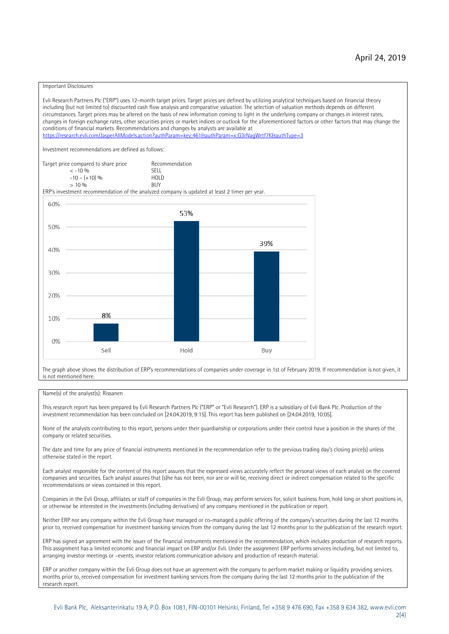#### Important Disclosures

Evli Research Partners Plc ("ERP") uses 12-month target prices. Target prices are defined by utilizing analytical techniques based on financial theory including (but not limited to) discounted cash flow analysis and comparative valuation. The selection of valuation methods depends on different circumstances. Target prices may be altered on the basis of new information coming to light in the underlying company or changes in interest rates, changes in foreign exchange rates, other securities prices or market indices or outlook for the aforementioned factors or other factors that may change the conditions of financial markets. Recommendations and changes by analysts are available at https://research.evli.com/JasperAllModels.action?authParam=key;461&tauthParam=x;G3rNagWrtf7K&tauthType=3 Investment recommendations are defined as follows: Target price compared to share price Recommendation<br>  $\epsilon$  -10 % < -10 % SELL  $-10 - (+10) \%$  HOL<br>  $> 10 \%$  RIJY  $> 10 \frac{0}{0}$ ERP's investment recommendation of the analyzed company is updated at least 2 timer per year. 60% 53% 50% 39% 40% 30% 20% 8% 10%  $0%$ Sell Hold Buy

The graph above shows the distribution of ERP's recommendations of companies under coverage in 1st of February 2019. If recommendation is not given, it is not mentioned here.

#### Name(s) of the analyst(s): Rissanen

This research report has been prepared by Evli Research Partners Plc ("ERP" or "Evli Research"). ERP is a subsidiary of Evli Bank Plc. Production of the investment recommendation has been concluded on [24.04.2019, 9:15]. This report has been published on [24.04.2019, 10:05].

None of the analysts contributing to this report, persons under their guardianship or corporations under their control have a position in the shares of the company or related securities.

The date and time for any price of financial instruments mentioned in the recommendation refer to the previous trading day's closing price(s) unless otherwise stated in the report.

Each analyst responsible for the content of this report assures that the expressed views accurately reflect the personal views of each analyst on the covered companies and securities. Each analyst assures that (s)he has not been, nor are or will be, receiving direct or indirect compensation related to the specific recommendations or views contained in this report.

Companies in the Evli Group, affiliates or staff of companies in the Evli Group, may perform services for, solicit business from, hold long or short positions in, or otherwise be interested in the investments (including derivatives) of any company mentioned in the publication or report.

Neither ERP nor any company within the Evli Group have managed or co-managed a public offering of the company's securities during the last 12 months prior to, received compensation for investment banking services from the company during the last 12 months prior to the publication of the research report.

ERP has signed an agreement with the issuer of the financial instruments mentioned in the recommendation, which includes production of research reports. This assignment has a limited economic and financial impact on ERP and/or Evli. Under the assignment ERP performs services including, but not limited to, arranging investor meetings or –events, investor relations communication advisory and production of research material.

ERP or another company within the Evli Group does not have an agreement with the company to perform market making or liquidity providing services. months prior to, received compensation for investment banking services from the company during the last 12 months prior to the publication of the research report.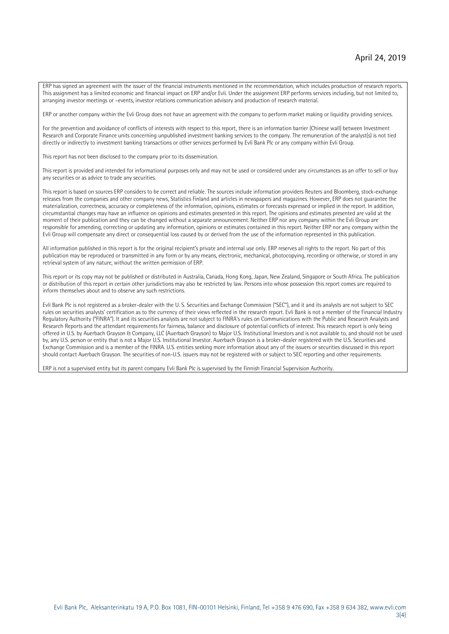ERP has signed an agreement with the issuer of the financial instruments mentioned in the recommendation, which includes production of research reports. This assignment has a limited economic and financial impact on ERP and/or Evli. Under the assignment ERP performs services including, but not limited to, arranging investor meetings or –events, investor relations communication advisory and production of research material.

ERP or another company within the Evli Group does not have an agreement with the company to perform market making or liquidity providing services.

For the prevention and avoidance of conflicts of interests with respect to this report, there is an information barrier (Chinese wall) between Investment Research and Corporate Finance units concerning unpublished investment banking services to the company. The remuneration of the analyst(s) is not tied directly or indirectly to investment banking transactions or other services performed by Evli Bank Plc or any company within Evli Group.

This report has not been disclosed to the company prior to its dissemination.

This report is provided and intended for informational purposes only and may not be used or considered under any circumstances as an offer to sell or buy any securities or as advice to trade any securities.

This report is based on sources ERP considers to be correct and reliable. The sources include information providers Reuters and Bloomberg, stock-exchange releases from the companies and other company news, Statistics Finland and articles in newspapers and magazines. However, ERP does not guarantee the materialization, correctness, accuracy or completeness of the information, opinions, estimates or forecasts expressed or implied in the report. In addition, circumstantial changes may have an influence on opinions and estimates presented in this report. The opinions and estimates presented are valid at the moment of their publication and they can be changed without a separate announcement. Neither ERP nor any company within the Evli Group are responsible for amending, correcting or updating any information, opinions or estimates contained in this report. Neither ERP nor any company within the Evli Group will compensate any direct or consequential loss caused by or derived from the use of the information represented in this publication.

All information published in this report is for the original recipient's private and internal use only. ERP reserves all rights to the report. No part of this publication may be reproduced or transmitted in any form or by any means, electronic, mechanical, photocopying, recording or otherwise, or stored in any retrieval system of any nature, without the written permission of ERP.

This report or its copy may not be published or distributed in Australia, Canada, Hong Kong, Japan, New Zealand, Singapore or South Africa. The publication or distribution of this report in certain other jurisdictions may also be restricted by law. Persons into whose possession this report comes are required to inform themselves about and to observe any such restrictions.

Evli Bank Plc is not registered as a broker-dealer with the U. S. Securities and Exchange Commission ("SEC"), and it and its analysts are not subject to SEC rules on securities analysts' certification as to the currency of their views reflected in the research report. Evli Bank is not a member of the Financial Industry Regulatory Authority ("FINRA"). It and its securities analysts are not subject to FINRA's rules on Communications with the Public and Research Analysts and Research Reports and the attendant requirements for fairness, balance and disclosure of potential conflicts of interest. This research report is only being offered in U.S. by Auerbach Grayson & Company, LLC (Auerbach Grayson) to Major U.S. Institutional Investors and is not available to, and should not be used by, any U.S. person or entity that is not a Major U.S. Institutional Investor. Auerbach Grayson is a broker-dealer registered with the U.S. Securities and Exchange Commission and is a member of the FINRA. U.S. entities seeking more information about any of the issuers or securities discussed in this report should contact Auerbach Grayson. The securities of non-U.S. issuers may not be registered with or subject to SEC reporting and other requirements.

ERP is not a supervised entity but its parent company Evli Bank Plc is supervised by the Finnish Financial Supervision Authority.